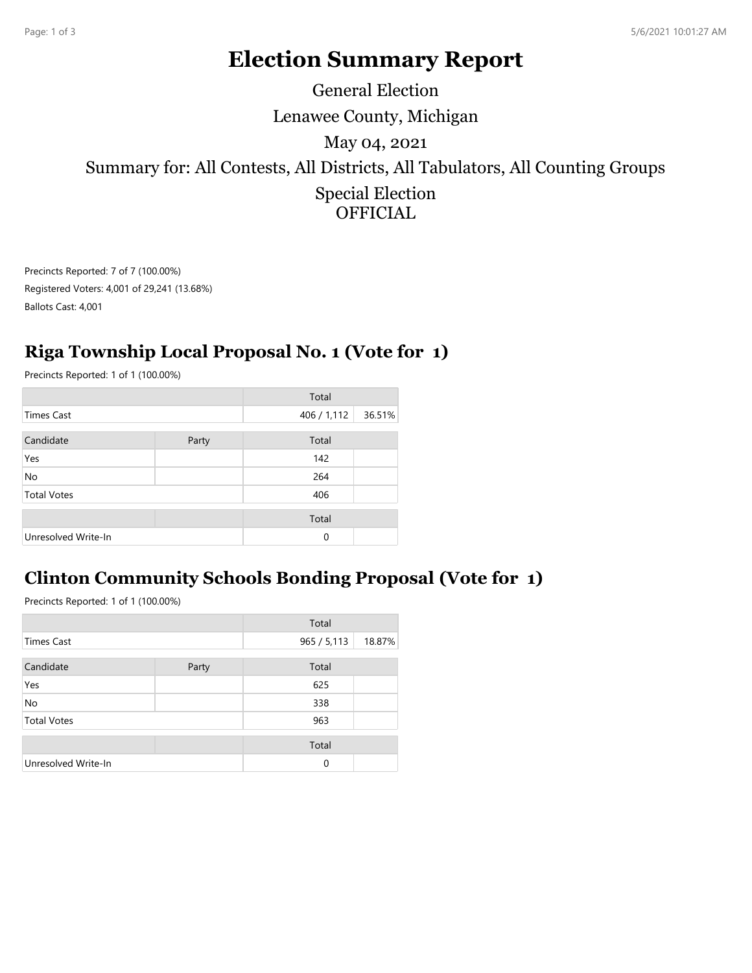# **Election Summary Report**

Lenawee County, Michigan Summary for: All Contests, All Districts, All Tabulators, All Counting Groups Special Election **OFFICIAL** May 04, 2021 General Election

Precincts Reported: 7 of 7 (100.00%) Registered Voters: 4,001 of 29,241 (13.68%) Ballots Cast: 4,001

### **Riga Township Local Proposal No. 1 (Vote for 1)**

Precincts Reported: 1 of 1 (100.00%)

|                     |       | Total       |        |
|---------------------|-------|-------------|--------|
| <b>Times Cast</b>   |       | 406 / 1,112 | 36.51% |
| Candidate           | Party | Total       |        |
| Yes                 |       | 142         |        |
| No                  |       | 264         |        |
| <b>Total Votes</b>  |       | 406         |        |
|                     |       | Total       |        |
| Unresolved Write-In |       | $\Omega$    |        |

#### **Clinton Community Schools Bonding Proposal (Vote for 1)**

Precincts Reported: 1 of 1 (100.00%)

|                     |       | Total       |        |
|---------------------|-------|-------------|--------|
| <b>Times Cast</b>   |       | 965 / 5,113 | 18.87% |
| Candidate           | Party | Total       |        |
| Yes                 |       | 625         |        |
| No                  |       | 338         |        |
| <b>Total Votes</b>  |       | 963         |        |
|                     |       | Total       |        |
| Unresolved Write-In |       | $\Omega$    |        |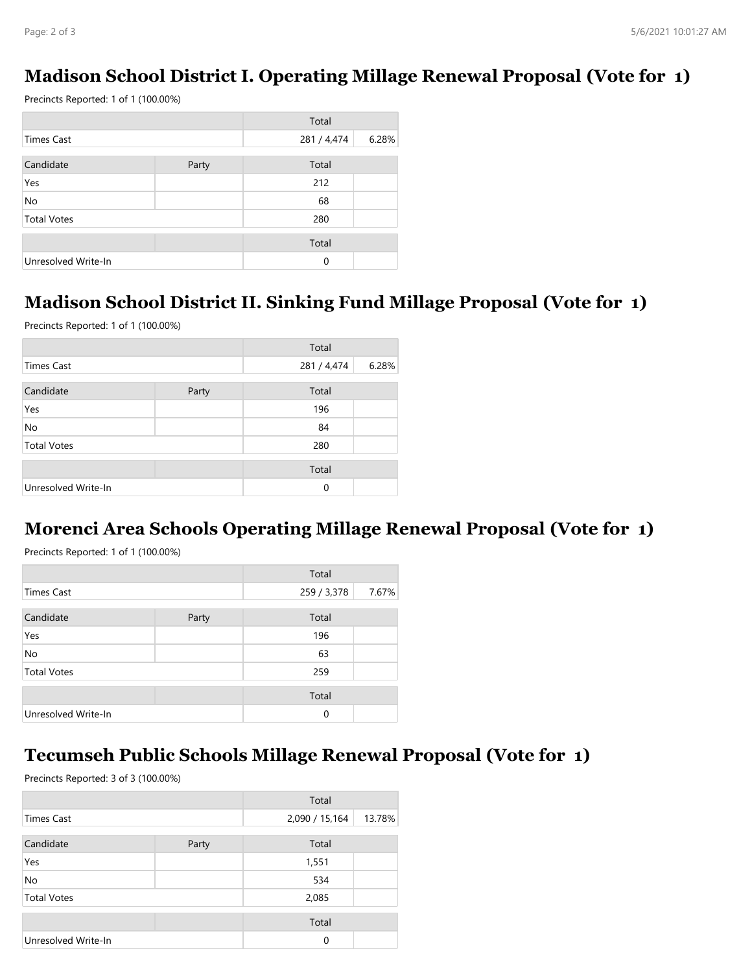#### **Madison School District I. Operating Millage Renewal Proposal (Vote for 1)**

Precincts Reported: 1 of 1 (100.00%)

|                     |       | Total       |       |
|---------------------|-------|-------------|-------|
| <b>Times Cast</b>   |       | 281 / 4,474 | 6.28% |
| Candidate           | Party | Total       |       |
| Yes                 |       | 212         |       |
| No                  |       | 68          |       |
| <b>Total Votes</b>  |       | 280         |       |
|                     |       | Total       |       |
| Unresolved Write-In |       | 0           |       |

#### **Madison School District II. Sinking Fund Millage Proposal (Vote for 1)**

Precincts Reported: 1 of 1 (100.00%)

|                     |       | Total       |       |
|---------------------|-------|-------------|-------|
| <b>Times Cast</b>   |       | 281 / 4,474 | 6.28% |
| Candidate           | Party | Total       |       |
| Yes                 |       | 196         |       |
| No                  |       | 84          |       |
| <b>Total Votes</b>  |       | 280         |       |
|                     |       | Total       |       |
| Unresolved Write-In |       | 0           |       |

#### **Morenci Area Schools Operating Millage Renewal Proposal (Vote for 1)**

Precincts Reported: 1 of 1 (100.00%)

|                     |       | Total       |       |
|---------------------|-------|-------------|-------|
| <b>Times Cast</b>   |       | 259 / 3,378 | 7.67% |
| Candidate           | Party | Total       |       |
| Yes                 |       | 196         |       |
| No                  |       | 63          |       |
| <b>Total Votes</b>  |       | 259         |       |
|                     |       | Total       |       |
| Unresolved Write-In |       | 0           |       |

#### **Tecumseh Public Schools Millage Renewal Proposal (Vote for 1)**

Precincts Reported: 3 of 3 (100.00%)

|                     |       | Total          |        |
|---------------------|-------|----------------|--------|
| <b>Times Cast</b>   |       | 2,090 / 15,164 | 13.78% |
| Candidate           | Party | Total          |        |
| Yes                 |       | 1,551          |        |
| No                  |       | 534            |        |
| <b>Total Votes</b>  |       | 2,085          |        |
|                     |       | Total          |        |
| Unresolved Write-In |       | $\Omega$       |        |